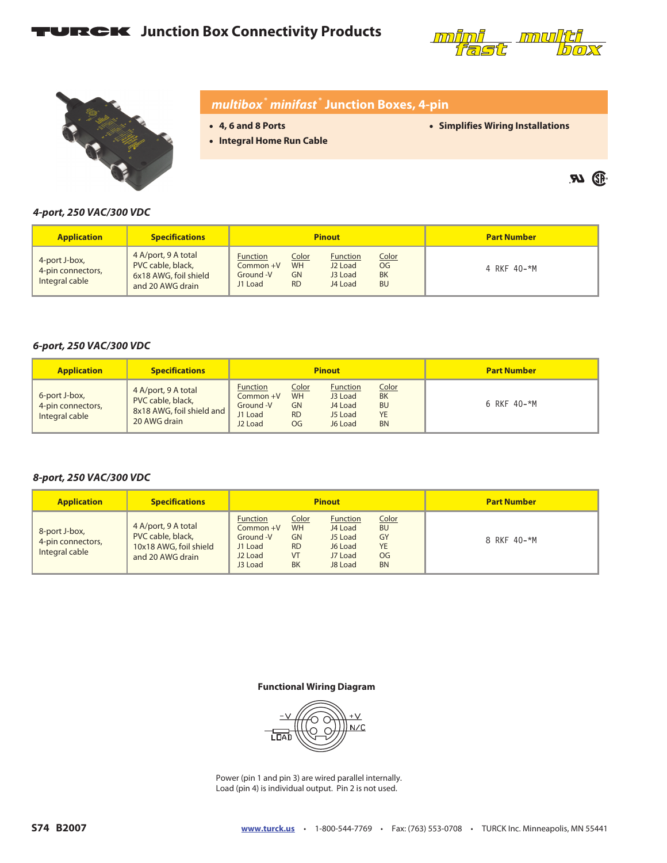# **TURCK** Junction Box Connectivity Products



 $\boldsymbol{\mathcal{P}}$   $\mathbb{Q}$ 



## *multibox***®** *minifast* **® Junction Boxes, 4-pin**

- **4, 6 and 8 Ports**
- **Integral Home Run Cable**

• **Simplifies Wiring Installations**

*4-port, 250 VAC/300 VDC*

| <b>Application</b>                                   | <b>Specifications</b>                                                                 | <b>Pinout</b>                                        |                                              |                                                              | <b>Part Number</b>                           |             |
|------------------------------------------------------|---------------------------------------------------------------------------------------|------------------------------------------------------|----------------------------------------------|--------------------------------------------------------------|----------------------------------------------|-------------|
| 4-port J-box,<br>4-pin connectors,<br>Integral cable | 4 A/port, 9 A total<br>PVC cable, black,<br>6x18 AWG, foil shield<br>and 20 AWG drain | <b>Function</b><br>Common +V<br>Ground -V<br>J1 Load | Color<br><b>WH</b><br><b>GN</b><br><b>RD</b> | <b>Function</b><br>J <sub>2</sub> Load<br>J3 Load<br>J4 Load | Color<br><b>OG</b><br><b>BK</b><br><b>BU</b> | 4 RKF 40-*M |

#### *6-port, 250 VAC/300 VDC*

| <b>Application</b>                                   | <b>Specifications</b>                                                                 | <b>Pinout</b>                                                        |                                                     |                                                             | <b>Part Number</b>                                        |             |
|------------------------------------------------------|---------------------------------------------------------------------------------------|----------------------------------------------------------------------|-----------------------------------------------------|-------------------------------------------------------------|-----------------------------------------------------------|-------------|
| 6-port J-box,<br>4-pin connectors,<br>Integral cable | 4 A/port, 9 A total<br>PVC cable, black,<br>8x18 AWG, foil shield and<br>20 AWG drain | Function<br>Common +V<br>Ground -V<br>J1 Load<br>J <sub>2</sub> Load | Color<br><b>WH</b><br><b>GN</b><br><b>RD</b><br>OG. | <b>Function</b><br>J3 Load<br>J4 Load<br>J5 Load<br>J6 Load | Color<br><b>BK</b><br><b>BU</b><br><b>YE</b><br><b>BN</b> | 6 RKF 40-*M |

#### *8-port, 250 VAC/300 VDC*

| <b>Application</b>                                   | <b>Specifications</b>                                                                  | <b>Pinout</b>                                                                          |                                                                 |                                                                 |                                                          | <b>Part Number</b> |
|------------------------------------------------------|----------------------------------------------------------------------------------------|----------------------------------------------------------------------------------------|-----------------------------------------------------------------|-----------------------------------------------------------------|----------------------------------------------------------|--------------------|
| 8-port J-box,<br>4-pin connectors,<br>Integral cable | 4 A/port, 9 A total<br>PVC cable, black,<br>10x18 AWG, foil shield<br>and 20 AWG drain | <b>Function</b><br>Common +V<br>Ground -V<br>J1 Load<br>J <sub>2</sub> Load<br>J3 Load | Color<br><b>WH</b><br><b>GN</b><br><b>RD</b><br>VT<br><b>BK</b> | Function<br>J4 Load<br>J5 Load<br>J6 Load<br>J7 Load<br>J8 Load | Color<br><b>BU</b><br>GY<br><b>YE</b><br>OG<br><b>BN</b> | 8 RKF 40-*M        |

#### **Functional Wiring Diagram**



Power (pin 1 and pin 3) are wired parallel internally. Load (pin 4) is individual output. Pin 2 is not used.